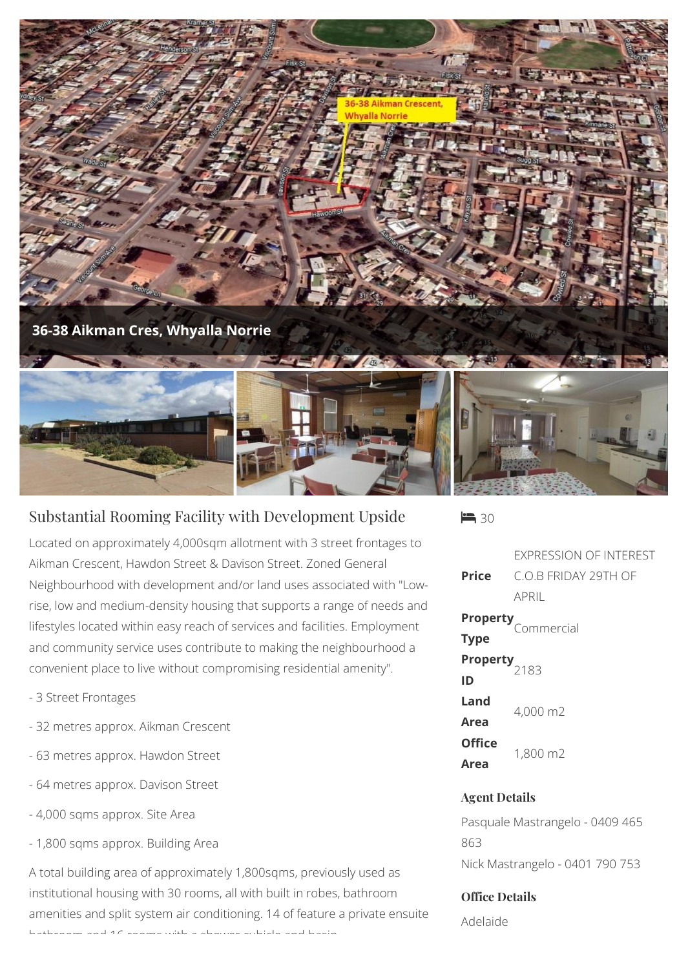

## Substantial Rooming Facility with Development Upside

Located on approximately 4,000sqm allotment with 3 street frontages to Aikman Crescent, Hawdon Street & Davison Street. Zoned General Neighbourhood with development and/or land uses associated with "Lowrise, low and medium-density housing that supports a range of needs and lifestyles located within easy reach of services and facilities. Employment and community service uses contribute to making the neighbourhood a convenient place to live without compromising residential amenity".

- 3 Street Frontages
- 32 metres approx. Aikman Crescent
- 63 metres approx. Hawdon Street
- 64 metres approx. Davison Street
- 4,000 sqms approx. Site Area
- 1,800 sqms approx. Building Area

A total building area of approximately 1,800sqms, previously used as institutional housing with 30 rooms, all with built in robes, bathroom amenities and split system air conditioning. 14 of feature a private ensuite bathroom and 16 rooms with a shower cubicle and basin.

 $\blacktriangleright$  30

**Price** EXPRESSION OF INTEREST C.O.B FRIDAY 29TH OF APRIL **Property**

|                                 | Commercial |
|---------------------------------|------------|
| <b>Type</b>                     |            |
| <b>Property</b> <sub>2183</sub> |            |
| ID                              |            |
| Land                            | 4,000 m2   |
| Area                            |            |
| <b>Office</b>                   | 1,800 m2   |
| <b>Area</b>                     |            |

## **Agent Details**

Pasquale Mastrangelo - 0409 465 863 Nick Mastrangelo - 0401 790 753

## **Office Details**

Adelaide